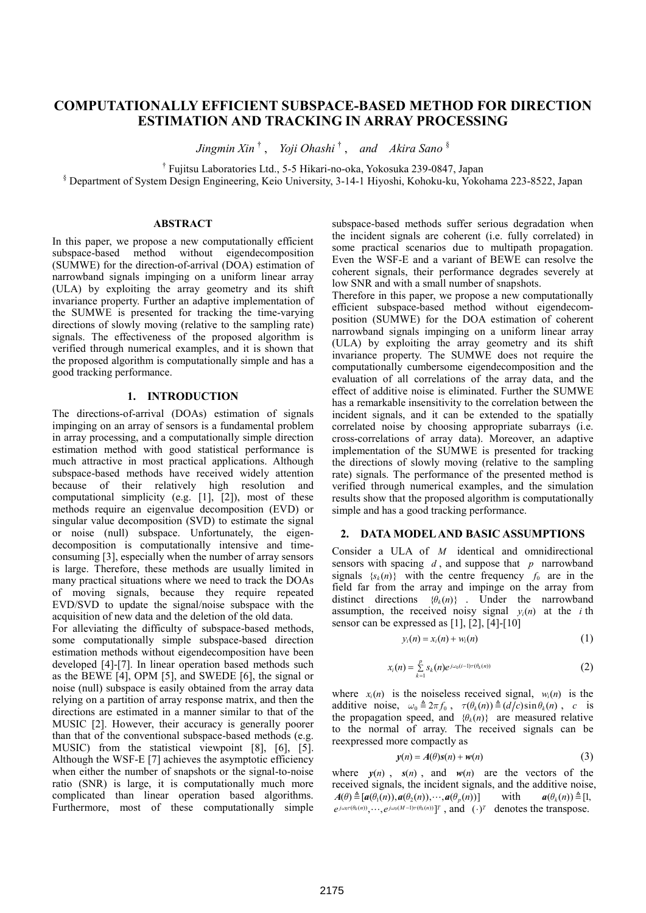# **COMPUTATIONALLY EFFICIENT SUBSPACE-BASED METHOD FOR DIRECTION ESTIMATION AND TRACKING IN ARRAY PROCESSING**

*Jingmin Xin* † , *Yoji Ohashi* † , *and Akira Sano* §

<sup>†</sup> Fujitsu Laboratories Ltd., 5-5 Hikari-no-oka, Yokosuka 239-0847, Japan §<br>S Department of System Design Engineering, Keis University, 2, 14, 1 Hiyoshi, Kebelgu lay Noko

Department of System Design Engineering, Keio University, 3-14-1 Hiyoshi, Kohoku-ku, Yokohama 223-8522, Japan

### **ABSTRACT**

In this paper, we propose a new computationally efficient subspace-based method without eigendecomposition (SUMWE) for the direction-of-arrival (DOA) estimation of narrowband signals impinging on a uniform linear array (ULA) by exploiting the array geometry and its shift invariance property. Further an adaptive implementation of the SUMWE is presented for tracking the time-varying directions of slowly moving (relative to the sampling rate) signals. The effectiveness of the proposed algorithm is verified through numerical examples, and it is shown that the proposed algorithm is computationally simple and has a good tracking performance.

### **1. INTRODUCTION**

The directions-of-arrival (DOAs) estimation of signals impinging on an array of sensors is a fundamental problem in array processing, and a computationally simple direction estimation method with good statistical performance is much attractive in most practical applications. Although subspace-based methods have received widely attention because of their relatively high resolution and computational simplicity (e.g. [1], [2]), most of these methods require an eigenvalue decomposition (EVD) or singular value decomposition (SVD) to estimate the signal or noise (null) subspace. Unfortunately, the eigendecomposition is computationally intensive and timeconsuming [3], especially when the number of array sensors is large. Therefore, these methods are usually limited in many practical situations where we need to track the DOAs of moving signals, because they require repeated EVD/SVD to update the signal/noise subspace with the acquisition of new data and the deletion of the old data.

For alleviating the difficulty of subspace-based methods, some computationally simple subspace-based direction estimation methods without eigendecomposition have been developed [4]-[7]. In linear operation based methods such as the BEWE [4], OPM [5], and SWEDE [6], the signal or noise (null) subspace is easily obtained from the array data relying on a partition of array response matrix, and then the directions are estimated in a manner similar to that of the MUSIC [2]. However, their accuracy is generally poorer than that of the conventional subspace-based methods (e.g. MUSIC) from the statistical viewpoint [8], [6], [5]. Although the WSF-E [7] achieves the asymptotic efficiency when either the number of snapshots or the signal-to-noise ratio (SNR) is large, it is computationally much more complicated than linear operation based algorithms. Furthermore, most of these computationally simple

subspace-based methods suffer serious degradation when the incident signals are coherent (i.e. fully correlated) in some practical scenarios due to multipath propagation. Even the WSF-E and a variant of BEWE can resolve the coherent signals, their performance degrades severely at low SNR and with a small number of snapshots.

Therefore in this paper, we propose a new computationally efficient subspace-based method without eigendecomposition (SUMWE) for the DOA estimation of coherent narrowband signals impinging on a uniform linear array (ULA) by exploiting the array geometry and its shift invariance property. The SUMWE does not require the computationally cumbersome eigendecomposition and the evaluation of all correlations of the array data, and the effect of additive noise is eliminated. Further the SUMWE has a remarkable insensitivity to the correlation between the incident signals, and it can be extended to the spatially correlated noise by choosing appropriate subarrays (i.e. cross-correlations of array data). Moreover, an adaptive implementation of the SUMWE is presented for tracking the directions of slowly moving (relative to the sampling rate) signals. The performance of the presented method is verified through numerical examples, and the simulation results show that the proposed algorithm is computationally simple and has a good tracking performance.

### **2. DATA MODEL AND BASIC ASSUMPTIONS**

Consider a ULA of *M* identical and omnidirectional sensors with spacing *d* , and suppose that *p* narrowband signals  ${s_k(n)}$  with the centre frequency  $f_0$  are in the field far from the array and impinge on the array from distinct directions  $\{\theta_k(n)\}$ . Under the narrowband assumption, the received noisy signal  $y_i(n)$  at the *i*th sensor can be expressed as  $[1]$ ,  $[2]$ ,  $[4]$ - $[10]$ 

$$
y_i(n) = x_i(n) + w_i(n) \tag{1}
$$

$$
x_i(n) = \sum_{k=1}^p s_k(n) e^{j \omega_0(i-1)\tau(\theta_k(n))}
$$
 (2)

where  $x_i(n)$  is the noiseless received signal,  $w_i(n)$  is the additive noise,  $\omega_0 \triangleq 2\pi f_0$ ,  $\tau(\theta_k(n)) \triangleq (d/c) \sin \theta_k(n)$ , *c* is the propagation speed, and  $\{\theta_k(n)\}$  are measured relative to the normal of array. The received signals can be reexpressed more compactly as

$$
y(n) = A(\theta)s(n) + w(n)
$$
 (3)

where  $y(n)$ ,  $s(n)$ , and  $w(n)$  are the vectors of the received signals, the incident signals, and the additive noise,  $A(\theta) \triangleq [a(\theta_1(n)), a(\theta_2(n)), \cdots, a(\theta_n(n))]$  with  $a(\theta_k(n)) \triangleq [1,$  $e^{j\omega_0 \tau(\theta_k(n))}, \cdots, e^{j\omega_0 (M-1) \tau(\theta_k(n))}$ <sup>T</sup>, and  $(\cdot)^T$  denotes the transpose.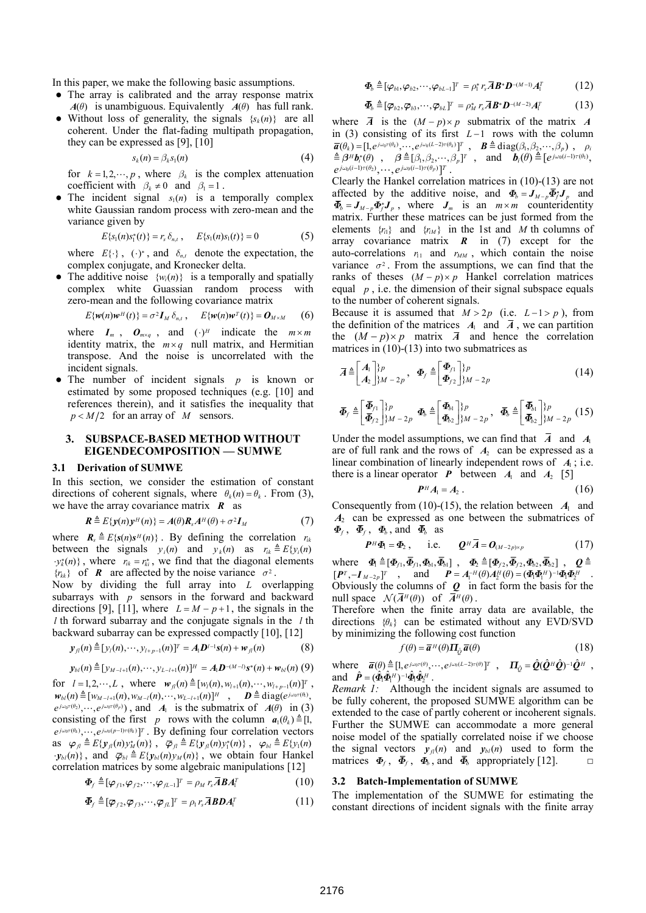In this paper, we make the following basic assumptions.

- The array is calibrated and the array response matrix *A*( $\theta$ ) is unambiguous. Equivalently *A*( $\theta$ ) has full rank.
- Without loss of generality, the signals  $\{s_k(n)\}\$  are all coherent. Under the flat-fading multipath propagation, they can be expressed as [9], [10]

$$
s_k(n) = \beta_k s_1(n) \tag{4}
$$

for  $k = 1, 2, \dots, p$ , where  $\beta_k$  is the complex attenuation coefficient with  $\beta_k \neq 0$  and  $\beta_1 = 1$ .

The incident signal  $s_1(n)$  is a temporally complex white Gaussian random process with zero-mean and the variance given by

$$
E\{s_1(n)s_1^*(t)\} = r_s \delta_{n,t}, \qquad E\{s_1(n)s_1(t)\} = 0 \tag{5}
$$

where  $E\{\cdot\}$ ,  $(\cdot)^*$ , and  $\delta_{n,t}$  denote the expectation, the complex conjugate, and Kronecker delta.

The additive noise  $\{w_i(n)\}\$  is a temporally and spatially complex white Guassian random process with zero-mean and the following covariance matrix

$$
E\{w(n)w^{H}(t)\} = \sigma^{2}I_{M}\delta_{n,t}, \qquad E\{w(n)w^{T}(t)\} = O_{M \times M} \qquad (6)
$$

where  $I_m$ ,  $O_{m \times q}$ , and  $(\cdot)^H$  indicate the  $m \times m$ identity matrix, the  $m \times q$  null matrix, and Hermitian transpose. And the noise is uncorrelated with the incident signals.

The number of incident signals  $p$  is known or estimated by some proposed techniques (e.g. [10] and references therein), and it satisfies the inequality that  $p < M/2$  for an array of *M* sensors.

## **3. SUBSPACE-BASED METHOD WITHOUT EIGENDECOMPOSITION — SUMWE**

### **3.1 Derivation of SUMWE**

In this section, we consider the estimation of constant directions of coherent signals, where  $\theta_k(n) = \theta_k$ . From (3), we have the array covariance matrix *R* as

$$
\mathbf{R} \triangleq E\{\mathbf{y}(n)\mathbf{y}^H(n)\} = A(\theta)\mathbf{R}_s A^H(\theta) + \sigma^2 \mathbf{I}_M
$$
 (7)

where  ${\bf R}_s \triangleq E\{s(n)s^H(n)\}\$ . By defining the correlation  $r_{ik}$ between the signals  $y_i(n)$  and  $y_k(n)$  as  $r_{ik} \triangleq E\{y_i(n)\}$  $y_k^*(n)$ , where  $r_{ik} = r_{ki}^*$ , we find that the diagonal elements  ${r_{kk}}$  of **R** are affected by the noise variance  $\sigma^2$ .

Now by dividing the full array into *L* overlapping subarrays with *p* sensors in the forward and backward directions [9], [11], where  $L = M - p + 1$ , the signals in the *l* th forward subarray and the conjugate signals in the *l* th backward subarray can be expressed compactly [10], [12]

$$
\mathbf{y}_{\mathcal{J}}(n) \triangleq [\mathbf{y}_{\mathcal{U}}(n), \cdots, \mathbf{y}_{\mathcal{U}+p-1}(n)]^T = A_1 \mathbf{D}^{\mathcal{U}-1} \mathbf{s}(n) + \mathbf{w}_{\mathcal{J}}(n) \tag{8}
$$

$$
\mathbf{y}_{bl}(n) \triangleq [y_{M-l+1}(n), \cdots, y_{L-l+1}(n)]^H = A_1 \mathbf{D}^{-(M-l)} \mathbf{s}^*(n) + \mathbf{w}_{bl}(n) (9)
$$

for  $l = 1, 2, \dots, L$ , where  $w_n(n) \triangleq [w_1(n), w_{l+1}(n), \dots, w_{l+p-1}(n)]^T$ ,  $w_{bl}(n) \triangleq [w_{M-l+1}(n), w_{M-l}(n), \cdots, w_{L-l+1}(n)]^H$ ,  $D \triangleq diag(e^{j\omega_0 \tau(\theta_1)},$  $e^{j\omega_0\tau(\theta_2)}, \dots, e^{j\omega_0\tau(\theta_p)}$ , and  $A_1$  is the submatrix of  $A(\theta)$  in (3) consisting of the first *p* rows with the column  $a_1(\theta_k) \triangleq [1,$  $e^{j\omega_0 \tau(\theta_k)}, \ldots, e^{j\omega_0 (p-1)\tau(\theta_k)}$ <sup>T</sup> . By defining four correlation vectors as  $\varphi_n \triangleq E\{y_n(n)y_M^*(n)\}, \quad \overline{\varphi}_n \triangleq E\{y_n(n)y_1^*(n)\}, \quad \varphi_{bl} \triangleq E\{y_1(n)\}$  $\cdot$ *y*<sub>*bl</sub>*(*n*)}, and  $\overline{\varphi}_{b} \triangleq E\{y_{b}(\overline{n})y_{M}(\overline{n})\}$ , we obtain four Hankel</sub> correlation matrices by some algebraic manipulations [12]

$$
\boldsymbol{\Phi}_f \triangleq [\boldsymbol{\varphi}_{f1}, \boldsymbol{\varphi}_{f2}, \cdots, \boldsymbol{\varphi}_{fL-1}]^T = \rho_M r_s \boldsymbol{\bar{A}} \boldsymbol{B} \boldsymbol{A}_1^T
$$
(10)

$$
\boldsymbol{\bar{\Phi}}_f \triangleq [\boldsymbol{\bar{\varphi}}_{f2}, \boldsymbol{\bar{\varphi}}_{f3}, \cdots, \boldsymbol{\bar{\varphi}}_{fL}]^T = \rho_1 r_s \boldsymbol{\bar{A}} \boldsymbol{B} \boldsymbol{D} \boldsymbol{A}_1^T
$$
\n(11)

$$
\mathbf{\Phi}_b \triangleq [\varphi_{b1}, \varphi_{b2}, \cdots, \varphi_{bL-1}]^T = \rho_1^* r_s \mathbf{\overline{A}} \mathbf{B}^* \mathbf{D}^{-(M-1)} \mathbf{A}_1^T
$$
(12)

$$
\overline{\boldsymbol{\Phi}}_{b} \triangleq [\overline{\varphi}_{b2}, \overline{\varphi}_{b3}, \cdots, \overline{\varphi}_{bL}]^{T} = \rho_{M}^{*} r_{s} \overline{\boldsymbol{A}} \boldsymbol{B}^{*} \boldsymbol{D}^{-(M-2)} \boldsymbol{A}_{1}^{T}
$$
(13)

where  $\overline{A}$  is the  $(M - p) \times p$  submatrix of the matrix *A* in (3) consisting of its first  $L-1$  rows with the column  $\overline{a}(\theta_k) = [1, e^{j \omega_0 \tau(\theta_k)}, \dots, e^{j \omega_0 (L-2) \tau(\theta_k)}]^T$ ,  $B \triangleq \text{diag}(\beta_1, \beta_2, \dots, \beta_p)$ ,  $\rho_i$  $\hat{\mathbf{B}} = \hat{\boldsymbol{\beta}}^H \boldsymbol{b}_i^* (\theta)$ ,  $\hat{\boldsymbol{\beta}} = [\beta_1, \beta_2, \cdots, \beta_p]^T$ , and  $\boldsymbol{b}_i (\theta) \triangleq [\boldsymbol{e}^{j \omega_0 (i-1) \tau(\theta_1)},$  $e^{j\omega_0(i-1)\tau(\theta_2)}, \cdots, e^{j\omega_0(i-1)\tau(\theta_p)}$ <sup>T</sup>.

Clearly the Hankel correlation matrices in (10)-(13) are not affected by the additive noise, and  $\Phi_b = J_{M-p} \overline{\Phi}_f^* J_p$  and  $\bar{\Phi}_b = J_{M-p} \Phi_f^* J_p$ , where  $J_m$  is an  $m \times m$  counteridentity matrix. Further these matrices can be just formed from the elements  $\{r_i\}$  and  $\{r_i\}$  in the 1st and *M* th columns of array covariance matrix *R* in (7) except for the auto-correlations  $r_{11}$  and  $r_{MM}$ , which contain the noise variance  $\sigma^2$ . From the assumptions, we can find that the ranks of theses  $(M - p) \times p$  Hankel correlation matrices equal  $p$ , i.e. the dimension of their signal subspace equals to the number of coherent signals.

Because it is assumed that  $M > 2p$  (i.e.  $L-1 > p$ ), from the definition of the matrices  $A_1$  and  $\overline{A}$ , we can partition the  $(M - p) \times p$  matrix  $\overline{A}$  and hence the correlation matrices in  $(10)$ - $(13)$  into two submatrices as

$$
\overline{A} \triangleq \begin{bmatrix} A_1 \\ A_2 \end{bmatrix}^{\gamma} p_{M-2p}, \quad \Phi_f \triangleq \begin{bmatrix} \Phi_{f1} \\ \Phi_{f2} \end{bmatrix}^{\gamma} p_{M-2p}
$$
(14)

$$
\boldsymbol{\overline{\Phi}}_f \triangleq \begin{bmatrix} \boldsymbol{\overline{\Phi}}_{f1} \\ \boldsymbol{\overline{\Phi}}_{f2} \end{bmatrix} \begin{matrix} \boldsymbol{p} \\ \boldsymbol{M} - 2\boldsymbol{p} \end{matrix} \boldsymbol{\Phi}_b \triangleq \begin{bmatrix} \boldsymbol{\Phi}_{b1} \\ \boldsymbol{\Phi}_{b2} \end{bmatrix} \begin{matrix} \boldsymbol{p} \\ \boldsymbol{M} - 2\boldsymbol{p} \end{matrix}, \boldsymbol{\overline{\Phi}}_b \triangleq \begin{bmatrix} \boldsymbol{\overline{\Phi}}_{b1} \\ \boldsymbol{\overline{\Phi}}_{b2} \end{bmatrix} \begin{matrix} \boldsymbol{p} \\ \boldsymbol{M} - 2\boldsymbol{p} \end{matrix} (15)
$$

Under the model assumptions, we can find that  $\overline{A}$  and  $A_1$ are of full rank and the rows of  $A_2$  can be expressed as a linear combination of linearly independent rows of  $A_1$ ; i.e. there is a linear operator **P** between  $A_1$  and  $A_2$  [5]

$$
P^H A_1 = A_2 \ . \tag{16}
$$

Consequently from (10)-(15), the relation between  $A_1$  and *A*2 can be expressed as one between the submatrices of  $\Phi_f$ ,  $\overline{\Phi}_f$ ,  $\Phi_b$ , and  $\overline{\Phi}_b$  as

$$
\boldsymbol{P}^H \boldsymbol{\Phi}_1 = \boldsymbol{\Phi}_2 \,, \qquad \text{i.e.} \qquad \boldsymbol{Q}^H \boldsymbol{\bar{A}} = \boldsymbol{O}_{(M-2p)\times p} \tag{17}
$$

where  $\Phi_1 \triangleq [\Phi_{f1}, \overline{\Phi}_{f1}, \Phi_{b1}, \overline{\Phi}_{b1}]$ ,  $\Phi_2 \triangleq [\Phi_{f2}, \overline{\Phi}_{f2}, \Phi_{b2}, \overline{\Phi}_{b2}]$ ,  $Q \triangleq$  $[P^T, -I_{M-2p}]^T$ , and  $P = A_1^{-H}(\theta)A_2^H(\theta) = (\Phi_1 \Phi_1^H)^{-1} \Phi_1 \Phi_2^H$ Obviously the columns of *Q* in fact form the basis for the null space  $\mathcal{N}(\overline{A}^H(\theta))$  of  $\overline{A}^H(\theta)$ .

Therefore when the finite array data are available, the directions  $\{\theta_k\}$  can be estimated without any EVD/SVD by minimizing the following cost function

$$
f(\theta) = \overline{\boldsymbol{a}}^H(\theta) \boldsymbol{\Pi}_{\hat{\varrho}} \, \overline{\boldsymbol{a}}(\theta) \tag{18}
$$

where  $\vec{a}(\theta) \triangleq [1, e^{j\omega_0 \tau(\theta)}, \cdots, e^{j\omega_0 (L-2)\tau(\theta)}]^T$ ,  $\Pi_{\hat{O}} = \hat{Q}(\hat{Q}^H \hat{Q})^{-1} \hat{Q}^H$ , and  $\hat{\boldsymbol{P}} = (\hat{\boldsymbol{\Phi}}_1 \hat{\boldsymbol{\Phi}}_1^H)^{-1} \hat{\boldsymbol{\Phi}}_1 \hat{\boldsymbol{\Phi}}_2^H$ .

*Remark 1:* Although the incident signals are assumed to be fully coherent, the proposed SUMWE algorithm can be extended to the case of partly coherent or incoherent signals. Further the SUMWE can accommodate a more general noise model of the spatially correlated noise if we choose the signal vectors  $y_{jl}(n)$  and  $y_{bl}(n)$  used to form the matrices  $\Phi_f$ ,  $\bar{\Phi}_f$ ,  $\Phi_b$ , and  $\bar{\Phi}_b$  appropriately [12]. □

#### **3.2 Batch-Implementation of SUMWE**

The implementation of the SUMWE for estimating the constant directions of incident signals with the finite array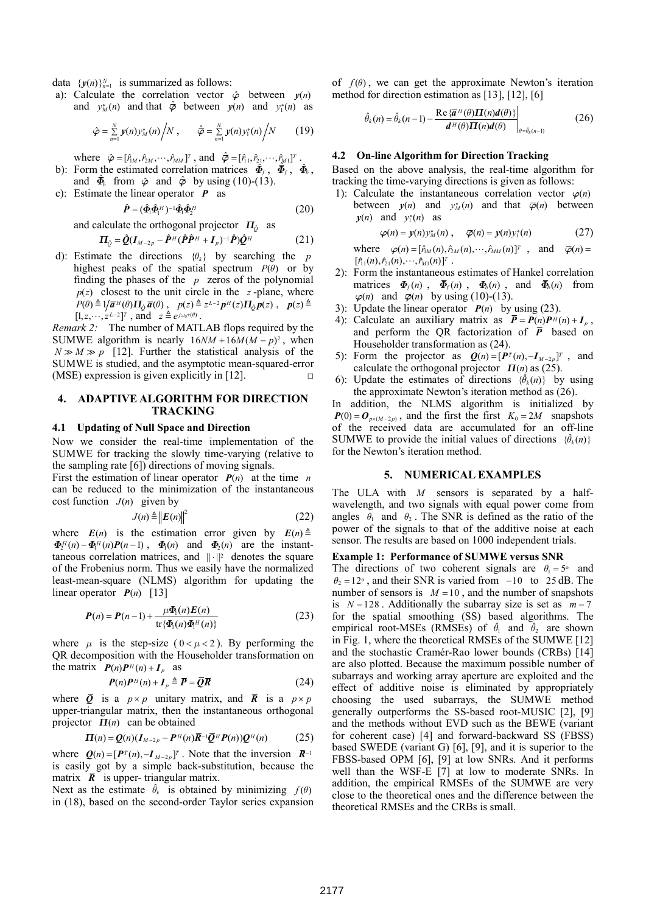data  ${ {y(n)} }_{n=1}^N$  is summarized as follows:

a): Calculate the correlation vector  $\hat{\varphi}$  between  $y(n)$ and  $v_M^*(n)$  and that  $\hat{\varphi}$  between  $v(n)$  and  $v_I^*(n)$  as

$$
\hat{\varphi} = \sum_{n=1}^{N} \mathbf{y}(n) y_M^*(n) / N \ , \qquad \hat{\varphi} = \sum_{n=1}^{N} \mathbf{y}(n) y_1^*(n) / N \qquad (19)
$$

where  $\hat{\varphi} = [\hat{r}_{1M}, \hat{r}_{2M}, \cdots, \hat{r}_{MM}]^T$ , and  $\hat{\bar{\varphi}} = [\hat{r}_{11}, \hat{r}_{21}, \cdots, \hat{r}_{M1}]^T$ .

- b): Form the estimated correlation matrices  $\hat{\Phi}_f$ ,  $\hat{\Phi}_f$ ,  $\hat{\Phi}_b$ , and  $\hat{\Phi}_b$  from  $\hat{\varphi}$  and  $\hat{\varphi}$  by using (10)-(13).
- c): Estimate the linear operator *P* as

$$
\hat{\boldsymbol{P}} = (\hat{\boldsymbol{\Phi}}_1 \hat{\boldsymbol{\Phi}}_1^H)^{-1} \hat{\boldsymbol{\Phi}}_1 \hat{\boldsymbol{\Phi}}_2^H
$$
\n(20)

and calculate the orthogonal projector 
$$
\Pi_{\hat{Q}}
$$
 as  
\n
$$
\Pi_{\hat{Q}} = \hat{Q}(I_{M-2p} - \hat{P}^H(\hat{P}\hat{P}^H + I_p)^{-1}\hat{P})\hat{Q}^H
$$
\n(21)

d): Estimate the directions  ${ \theta_k }$  by searching the *p* highest peaks of the spatial spectrum  $P(\theta)$  or by finding the phases of the *p* zeros of the polynomial  $p(z)$  closest to the unit circle in the *z*-plane, where  $P(\theta) \triangleq 1/\overline{a}^H(\theta) \Pi_{\hat{O}} \overline{a}(\theta)$ ,  $p(z) \triangleq z^{L-2} p^H(z) \Pi_{\hat{O}} p(z)$ ,  $p(z) \triangleq$  $[1, z, \cdots, z^{L-2}]^T$ , and  $z \triangleq e^{j\omega_0 \tau(\theta)}$ .

*Remark 2:* The number of MATLAB flops required by the SUMWE algorithm is nearly  $16NM + 16M(M - p)^2$ , when  $N \gg M \gg p$  [12]. Further the statistical analysis of the SUMWE is studied, and the asymptotic mean-squared-error (MSE) expression is given explicitly in [12].  $\Box$ 

### **4. ADAPTIVE ALGORITHM FOR DIRECTION TRACKING**

#### **4.1 Updating of Null Space and Direction**

Now we consider the real-time implementation of the SUMWE for tracking the slowly time-varying (relative to the sampling rate [6]) directions of moving signals.

First the estimation of linear operator  $P(n)$  at the time *n* can be reduced to the minimization of the instantaneous cost function  $J(n)$  given by

$$
J(n) \triangleq ||E(n)||^2 \tag{22}
$$

where  $E(n)$  is the estimation error given by  $E(n) \triangleq$  $\Phi_2^H(n) - \Phi_1^H(n)P(n-1)$ ,  $\Phi_1(n)$  and  $\Phi_2(n)$  are the instanttaneous correlation matrices, and  $|| \cdot ||^2$  denotes the square of the Frobenius norm. Thus we easily have the normalized least-mean-square (NLMS) algorithm for updating the linear operator  $P(n)$  [13]

$$
P(n) = P(n-1) + \frac{\mu \Phi_1(n) E(n)}{\operatorname{tr} \{ \Phi_1(n) \Phi_1^H(n) \}}
$$
(23)

where  $\mu$  is the step-size ( $0 < \mu < 2$ ). By performing the QR decomposition with the Householder transformation on the matrix  $P(n)P^H(n) + I_p$  as

$$
P(n)P^{H}(n) + I_{p} \triangleq \overline{P} = \overline{Q}\overline{R}
$$
 (24)

where  $\overline{Q}$  is a  $p \times p$  unitary matrix, and  $\overline{R}$  is a  $p \times p$ upper-triangular matrix, then the instantaneous orthogonal projector  $\Pi(n)$  can be obtained

$$
\Pi(n) = \mathbf{Q}(n)(\mathbf{I}_{M-2p} - \mathbf{P}^H(n)\mathbf{R}^{-1}\mathbf{Q}^H\mathbf{P}(n))\mathbf{Q}^H(n) \tag{25}
$$

where  $Q(n) = [P^T(n), -I_{M-2p}]^T$ . Note that the inversion  $\bar{R}^{-1}$ is easily got by a simple back-substitution, because the matrix  $\bar{R}$  is upper-triangular matrix.

Next as the estimate  $\hat{\theta}_k$  is obtained by minimizing  $f(\theta)$ in (18), based on the second-order Taylor series expansion of  $f(\theta)$ , we can get the approximate Newton's iteration method for direction estimation as [13], [12], [6]

$$
\hat{\theta}_{k}(n) = \hat{\theta}_{k}(n-1) - \frac{\text{Re}\{\bar{a}^{H}(\theta)\Pi(n)d(\theta)\}}{d^{H}(\theta)\Pi(n)d(\theta)}\Big|_{\theta = \hat{\theta}_{k}(n-1)}
$$
(26)

#### **4.2 On-line Algorithm for Direction Tracking**

Based on the above analysis, the real-time algorithm for tracking the time-varying directions is given as follows:

1): Calculate the instantaneous correlation vector  $\varphi(n)$ between  $y(n)$  and  $y_M^*(n)$  and that  $\overline{\varphi}(n)$  between  $y(n)$  and  $y_1^*(n)$  as

$$
\varphi(n) = y(n) y_M^*(n) , \quad \overline{\varphi}(n) = y(n) y_1^*(n) \qquad (27)
$$

where  $\varphi(n) = [\hat{r}_{1M}(n), \hat{r}_{2M}(n), \cdots, \hat{r}_{MM}(n)]^T$ , and  $\overline{\varphi}(n) =$  $[\hat{r}_{11}(n), \hat{r}_{21}(n), \cdots, \hat{r}_{M1}(n)]^{T}$ .

- 2): Form the instantaneous estimates of Hankel correlation matrices  $\Phi_f(n)$ ,  $\overline{\Phi}_f(n)$ ,  $\Phi_b(n)$ , and  $\overline{\Phi}_b(n)$  from  $\varphi(n)$  and  $\overline{\varphi}(n)$  by using (10)-(13).
- 3): Update the linear operator  $P(n)$  by using (23).
- 4): Calculate an auxiliary matrix as  $\overline{P} = P(n)P^H(n) + I_p$ , and perform the QR factorization of  $\overline{P}$  based on Householder transformation as (24).
- 5): Form the projector as  $Q(n) = [P^T(n), -I_{M-2p}]^T$ , and calculate the orthogonal projector  $\Pi(n)$  as (25).
- 6): Update the estimates of directions  $\{\hat{\theta}_k(n)\}$  by using the approximate Newton's iteration method as (26).

In addition, the NLMS algorithm is initialized by  $P(0) = O_{px(M-2p)}$ , and the first the first  $K_0 = 2M$  snapshots of the received data are accumulated for an off-line SUMWE to provide the initial values of directions  $\{\hat{\theta}_k(n)\}$ for the Newton's iteration method.

### **5. NUMERICAL EXAMPLES**

The ULA with *M* sensors is separated by a halfwavelength, and two signals with equal power come from angles  $\theta_1$  and  $\theta_2$ . The SNR is defined as the ratio of the power of the signals to that of the additive noise at each sensor. The results are based on 1000 independent trials.

#### **Example 1: Performance of SUMWE versus SNR**

The directions of two coherent signals are  $\theta_1 = 5^\circ$  and  $\theta_2 = 12^\circ$ , and their SNR is varied from −10 to 25 dB. The number of sensors is  $M = 10$ , and the number of snapshots is  $N = 128$ . Additionally the subarray size is set as  $m = 7$ for the spatial smoothing (SS) based algorithms. The empirical root-MSEs (RMSEs) of  $\hat{\theta}_1$  and  $\hat{\theta}_2$  are shown in Fig. 1, where the theoretical RMSEs of the SUMWE [12] and the stochastic Cramér-Rao lower bounds (CRBs) [14] are also plotted. Because the maximum possible number of subarrays and working array aperture are exploited and the effect of additive noise is eliminated by appropriately choosing the used subarrays, the SUMWE method generally outperforms the SS-based root-MUSIC [2], [9] and the methods without EVD such as the BEWE (variant for coherent case) [4] and forward-backward SS (FBSS) based SWEDE (variant G) [6], [9], and it is superior to the FBSS-based OPM [6], [9] at low SNRs. And it performs well than the WSF-E [7] at low to moderate SNRs. In addition, the empirical RMSEs of the SUMWE are very close to the theoretical ones and the difference between the theoretical RMSEs and the CRBs is small.